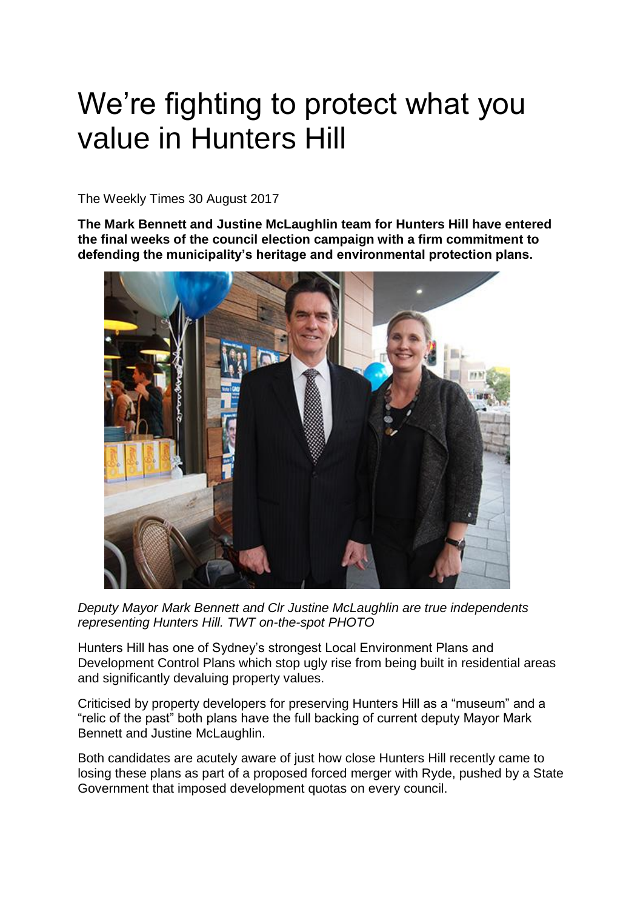## We're fighting to protect what you value in Hunters Hill

The Weekly Times 30 August 2017

**The Mark Bennett and Justine McLaughlin team for Hunters Hill have entered the final weeks of the council election campaign with a firm commitment to defending the municipality's heritage and environmental protection plans.**



*Deputy Mayor Mark Bennett and Clr Justine McLaughlin are true independents representing Hunters Hill. TWT on-the-spot PHOTO*

Hunters Hill has one of Sydney's strongest Local Environment Plans and Development Control Plans which stop ugly rise from being built in residential areas and significantly devaluing property values.

Criticised by property developers for preserving Hunters Hill as a "museum" and a "relic of the past" both plans have the full backing of current deputy Mayor Mark Bennett and Justine McLaughlin.

Both candidates are acutely aware of just how close Hunters Hill recently came to losing these plans as part of a proposed forced merger with Ryde, pushed by a State Government that imposed development quotas on every council.